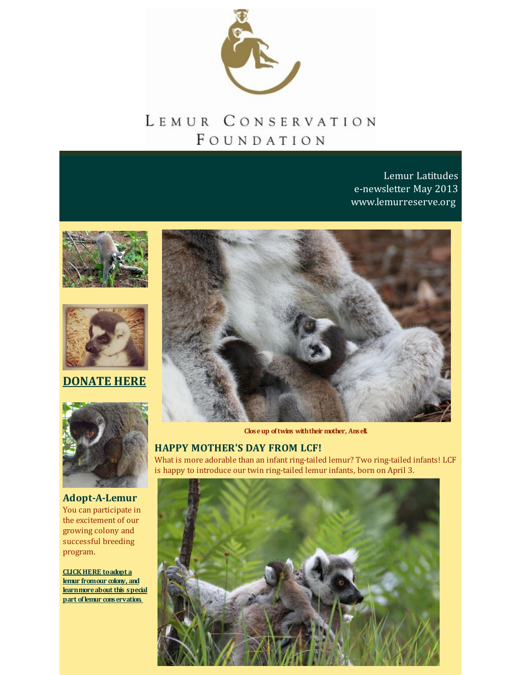

## LEMUR CONSERVATION FOUNDATION

Lemur Latitudes e-newsletter May 2013 [www.lemurreserve.org](http://www.lemurreserve.org)





**[DONATE](http://r20.rs6.net/tn.jsp?f=001P6rpiiij-aIDWkFe1UiI5Gqqio3IgSuosyn_WiVToDqUqkW0uXY9YMV4tA3A7YvdzVolk6G4Ic2-ql-NPxHb9WuemOi3cl4GErXVHHMFgRGRUbDsELzn8iAUTlhfkRIE40SaklaISBhpEF-ISc-3SnngIJikar5904Z6BZzs4VYNQFD0dXEuUEy--y5ECv6h&c=&ch=) HERE**



**Adopt-A-Lemur** You can participate in the excitement of our growing colony and successful breeding program.

**CLICKHERE toadopt a lemur fromour colony, and [learnmoreabout](http://r20.rs6.net/tn.jsp?f=001P6rpiiij-aIDWkFe1UiI5Gqqio3IgSuosyn_WiVToDqUqkW0uXY9YLIfQxP8n8bMjxOVwAQ4urMImbgYaV-O3OmADXiaVuWW_nFgAVslN2Qyu1Z7Y4HFjiZk5VaAZNeo4eHqKOPVUV_ZOMiSQEeXTWX_0XWci1BGeuoAS37b89CnX1rQhOfWP2jPZuG3oyqYtqOddb5nTOM9ehvUvCBRI2xto3T1Glz49kVF4o3NQbWmdh3FIJrRBVj9UZT6FpHS_11n_GMnPD0=&c=&ch=) this special part oflemur conservation.**



**Closeup oftwins withtheir mother, Ansell.**

## **HAPPY MOTHER'S DAY FROM LCF!**

What is more adorable than an infant ring-tailed lemur? Two ring-tailed infants! LCF is happy to introduce our twin ring-tailed lemur infants, born on April 3.

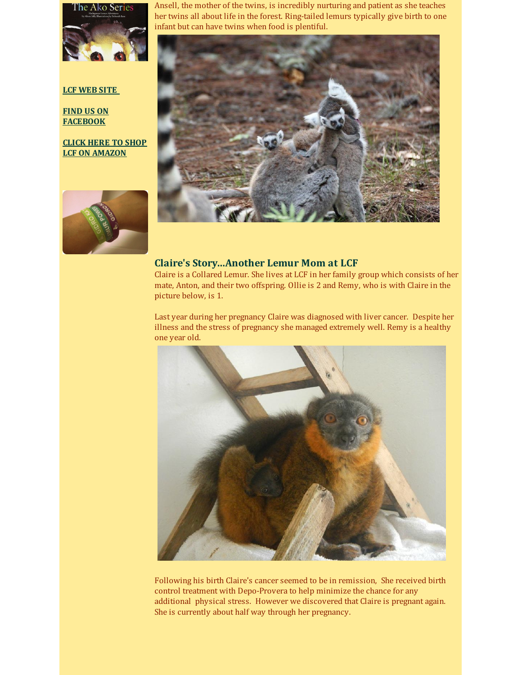

**LCF [WEB](http://www.lemurreserve.org) SITE**

**FIND US ON [FACEBOOK](http://www.facebook.com/LemurConservation)**

**CLICK HERE TO SHOP LCF ON [AMAZON](http://r20.rs6.net/tn.jsp?f=001P6rpiiij-aIDWkFe1UiI5Gqqio3IgSuosyn_WiVToDqUqkW0uXY9YH5SZrolcdgxMej4aDkWpz-Wz1gkiMKAjcS4Ozjl6Y3y2lmyv0F6Btt7R1uDPckTQM35F0d8OMa_vcu4Bz03TvDFon2_7zwS9kquX_LMIl4UCDH6_p-nxto0FUbZXNQczSduUMYIV83SZOfbQp4lsYj0Zh-cmk761g==&c=&ch=)**



Ansell, the mother of the twins, is incredibly nurturing and patient as she teaches her twins all about life in the forest. Ring-tailed lemurs typically give birth to one infant but can have twins when food is plentiful.



## **Claire's Story...Another Lemur Mom at LCF**

Claire is a Collared Lemur. She lives at LCF in her family group which consists of her mate, Anton, and their two offspring. Ollie is 2 and Remy, who is with Claire in the picture below, is 1.

Last year during her pregnancy Claire was diagnosed with liver cancer. Despite her illness and the stress of pregnancy she managed extremely well. Remy is a healthy one year old.



Following his birth Claire's cancer seemed to be in remission, She received birth control treatment with Depo-Provera to help minimize the chance for any additional physical stress. However we discovered that Claire is pregnant again. She is currently about half way through her pregnancy.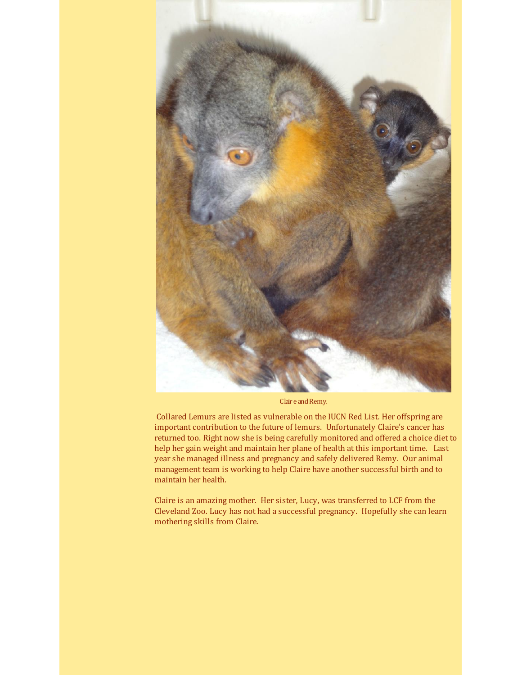

Clair e and Remy.

Collared Lemurs are listed as vulnerable on the IUCN Red List. Her offspring are important contribution to the future of lemurs. Unfortunately Claire's cancer has returned too. Right now she is being carefully monitored and offered a choice diet to help her gain weight and maintain her plane of health at this important time. Last year she managed illness and pregnancy and safely delivered Remy. Our animal management team is working to help Claire have another successful birth and to maintain her health.

Claire is an amazing mother. Her sister, Lucy, was transferred to LCF from the Cleveland Zoo. Lucy has not had a successful pregnancy. Hopefully she can learn mothering skills from Claire.